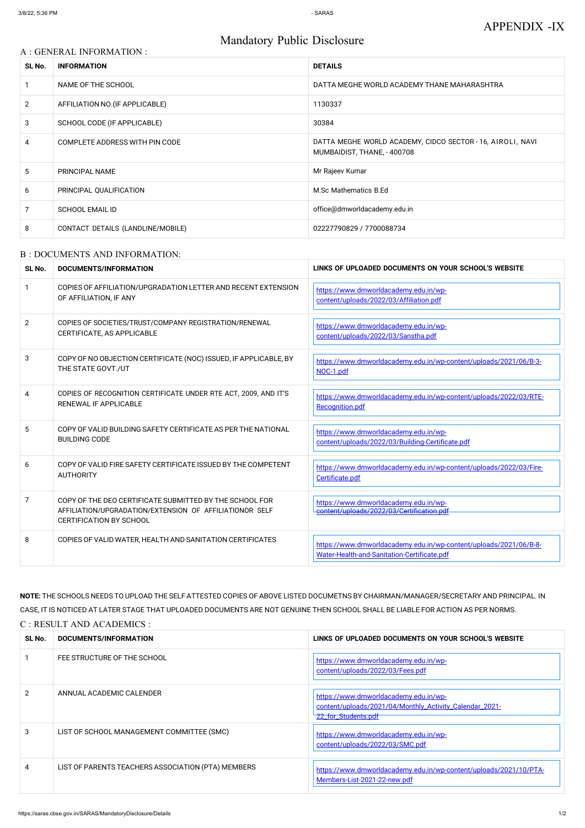#### A : GENERAL INFORMATION :

# Mandatory Public Disclosure

| SL No. | <b>INFORMATION</b>                | <b>DETAILS</b>                                                                            |
|--------|-----------------------------------|-------------------------------------------------------------------------------------------|
|        | NAME OF THE SCHOOL                | DATTA MEGHE WORLD ACADEMY THANE MAHARASHTRA                                               |
| 2      | AFFILIATION NO. (IF APPLICABLE)   | 1130337                                                                                   |
| 3      | SCHOOL CODE (IF APPLICABLE)       | 30384                                                                                     |
| 4      | COMPLETE ADDRESS WITH PIN CODE    | DATTA MEGHE WORLD ACADEMY, CIDCO SECTOR - 16, AIROLI, NAVI<br>MUMBAIDIST, THANE, - 400708 |
| 5      | PRINCIPAL NAME                    | Mr Rajeev Kumar                                                                           |
| 6      | PRINCIPAL QUALIFICATION           | M.Sc Mathematics B.Ed                                                                     |
| 7      | <b>SCHOOL EMAIL ID</b>            | office@dmworldacademy.edu.in                                                              |
| 8      | CONTACT DETAILS (LANDLINE/MOBILE) | 02227790829 / 7700088734                                                                  |

### B : DOCUMENTS AND INFORMATION:

| SL No.       | <b>DOCUMENTS/INFORMATION</b>                                                                                                                         | LINKS OF UPLOADED DOCUMENTS ON YOUR SCHOOL'S WEBSITE                                                             |  |
|--------------|------------------------------------------------------------------------------------------------------------------------------------------------------|------------------------------------------------------------------------------------------------------------------|--|
| $\mathbf{1}$ | COPIES OF AFFILIATION/UPGRADATION LETTER AND RECENT EXTENSION<br>OF AFFILIATION, IF ANY                                                              | https://www.dmworldacademy.edu.in/wp-<br>content/uploads/2022/03/Affiliation.pdf                                 |  |
| 2            | COPIES OF SOCIETIES/TRUST/COMPANY REGISTRATION/RENEWAL<br>CERTIFICATE, AS APPLICABLE                                                                 | https://www.dmworldacademy.edu.in/wp-<br>content/uploads/2022/03/Sanstha.pdf                                     |  |
| 3            | COPY OF NO OBJECTION CERTIFICATE (NOC) ISSUED, IF APPLICABLE, BY<br>THE STATE GOVT./UT                                                               | https://www.dmworldacademy.edu.in/wp-content/uploads/2021/06/B-3-<br>NOC-1.pdf                                   |  |
| 4            | COPIES OF RECOGNITION CERTIFICATE UNDER RTE ACT, 2009, AND IT'S<br><b>RENEWAL IF APPLICABLE</b>                                                      | https://www.dmworldacademy.edu.in/wp-content/uploads/2022/03/RTE-<br>Recognition.pdf                             |  |
| 5            | COPY OF VALID BUILDING SAFETY CERTIFICATE AS PER THE NATIONAL<br><b>BUILDING CODE</b>                                                                | https://www.dmworldacademy.edu.in/wp-<br>content/uploads/2022/03/Building-Certificate.pdf                        |  |
| 6            | COPY OF VALID FIRE SAFETY CERTIFICATE ISSUED BY THE COMPETENT<br><b>AUTHORITY</b>                                                                    | https://www.dmworldacademy.edu.in/wp-content/uploads/2022/03/Fire-<br>Certificate.pdf                            |  |
| 7            | COPY OF THE DEO CERTIFICATE SUBMITTED BY THE SCHOOL FOR<br>AFFILIATION/UPGRADATION/EXTENSION OF AFFILIATIONOR SELF<br><b>CERTIFICATION BY SCHOOL</b> | https://www.dmworldacademy.edu.in/wp-<br>content/uploads/2022/03/Certification ndi                               |  |
| 8            | COPIES OF VALID WATER, HEALTH AND SANITATION CERTIFICATES                                                                                            | https://www.dmworldacademy.edu.in/wp-content/uploads/2021/06/B-8-<br>Water-Health-and-Sanitation-Certificate.pdf |  |

**NOTE:** THE SCHOOLS NEEDS TO UPLOAD THE SELF ATTESTED COPIES OF ABOVE LISTED DOCUMETNS BY CHAIRMAN/MANAGER/SECRETARY AND PRINCIPAL. IN CASE, IT IS NOTICED AT LATER STAGE THAT UPLOADED DOCUMENTS ARE NOT GENUINE THEN SCHOOL SHALL BE LIABLE FOR ACTION AS PER NORMS. C : RESULT AND ACADEMICS :

| SL No. | DOCUMENTS/INFORMATION                              | LINKS OF UPLOADED DOCUMENTS ON YOUR SCHOOL'S WEBSITE                                                                    |
|--------|----------------------------------------------------|-------------------------------------------------------------------------------------------------------------------------|
|        | FEE STRUCTURE OF THE SCHOOL                        | https://www.dmworldacademy.edu.in/wp-<br>content/uploads/2022/03/Fees.pdf                                               |
| 2      | ANNUAL ACADEMIC CALENDER                           | https://www.dmworldacademy.edu.in/wp-<br>content/uploads/2021/04/Monthly_Activity_Calendar_2021-<br>22_for_Students.pdf |
| 3      | LIST OF SCHOOL MANAGEMENT COMMITTEE (SMC)          | https://www.dmworldacademy.edu.in/wp-<br>content/uploads/2022/03/SMC.pdf                                                |
| 4      | LIST OF PARENTS TEACHERS ASSOCIATION (PTA) MEMBERS | https://www.dmworldacademy.edu.in/wp-content/uploads/2021/10/PTA-<br>Members-List-2021-22-new.pdf                       |